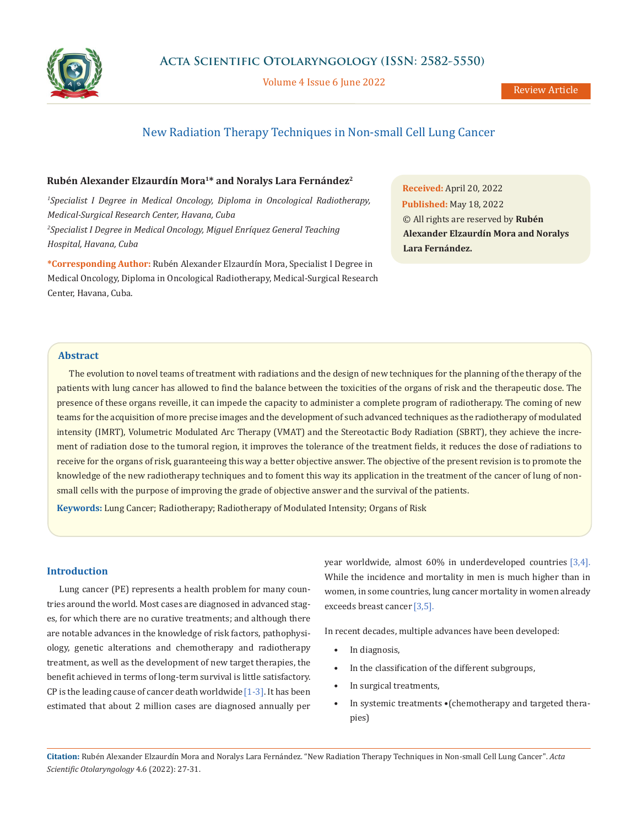

Volume 4 Issue 6 June 2022

# New Radiation Therapy Techniques in Non-small Cell Lung Cancer

# **Rubén Alexander Elzaurdín Mora1\* and Noralys Lara Fernández2**

*1 Specialist I Degree in Medical Oncology, Diploma in Oncological Radiotherapy, Medical-Surgical Research Center, Havana, Cuba* <sup>2</sup> Specialist I Degree in Medical Oncology, Miguel Enríquez General Teaching *Hospital, Havana, Cuba*

**\*Corresponding Author:** Rubén Alexander Elzaurdín Mora, Specialist I Degree in Medical Oncology, Diploma in Oncological Radiotherapy, Medical-Surgical Research Center, Havana, Cuba.

**Received:** April 20, 2022 **Published:** May 18, 2022 © All rights are reserved by **Rubén Alexander Elzaurdín Mora and Noralys Lara Fernández.**

# **Abstract**

The evolution to novel teams of treatment with radiations and the design of new techniques for the planning of the therapy of the patients with lung cancer has allowed to find the balance between the toxicities of the organs of risk and the therapeutic dose. The presence of these organs reveille, it can impede the capacity to administer a complete program of radiotherapy. The coming of new teams for the acquisition of more precise images and the development of such advanced techniques as the radiotherapy of modulated intensity (IMRT), Volumetric Modulated Arc Therapy (VMAT) and the Stereotactic Body Radiation (SBRT), they achieve the increment of radiation dose to the tumoral region, it improves the tolerance of the treatment fields, it reduces the dose of radiations to receive for the organs of risk, guaranteeing this way a better objective answer. The objective of the present revision is to promote the knowledge of the new radiotherapy techniques and to foment this way its application in the treatment of the cancer of lung of nonsmall cells with the purpose of improving the grade of objective answer and the survival of the patients.

**Keywords:** Lung Cancer; Radiotherapy; Radiotherapy of Modulated Intensity; Organs of Risk

#### **Introduction**

Lung cancer (PE) represents a health problem for many countries around the world. Most cases are diagnosed in advanced stages, for which there are no curative treatments; and although there are notable advances in the knowledge of risk factors, pathophysiology, genetic alterations and chemotherapy and radiotherapy treatment, as well as the development of new target therapies, the benefit achieved in terms of long-term survival is little satisfactory. CP is the leading cause of cancer death worldwide  $[1-3]$ . It has been estimated that about 2 million cases are diagnosed annually per year worldwide, almost 60% in underdeveloped countries [3,4]. While the incidence and mortality in men is much higher than in women, in some countries, lung cancer mortality in women already exceeds breast cancer [3,5].

In recent decades, multiple advances have been developed:

- In diagnosis,
- In the classification of the different subgroups,
- In surgical treatments,
- In systemic treatments •(chemotherapy and targeted therapies)

**Citation:** Rubén Alexander Elzaurdín Mora and Noralys Lara Fernández*.* "New Radiation Therapy Techniques in Non-small Cell Lung Cancer". *Acta Scientific Otolaryngology* 4.6 (2022): 27-31.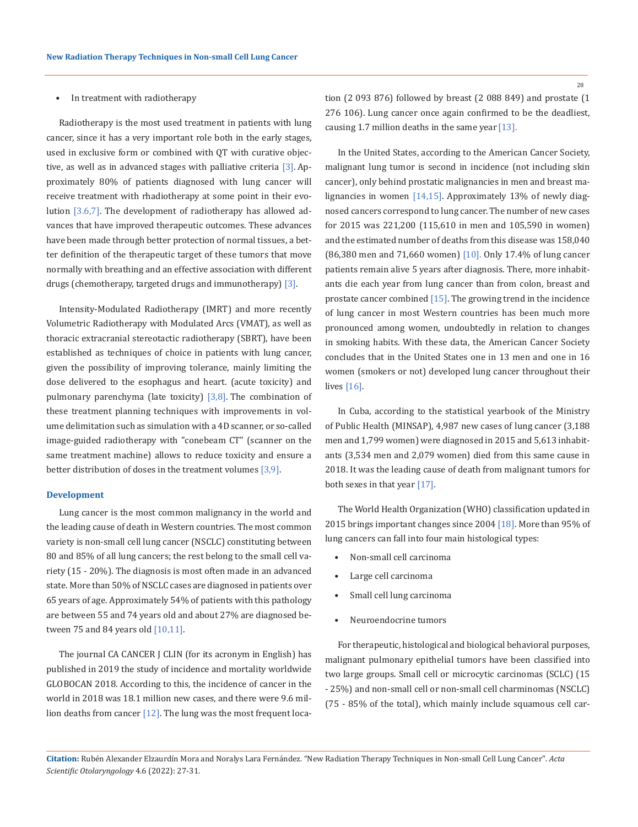#### In treatment with radiotherapy

Radiotherapy is the most used treatment in patients with lung cancer, since it has a very important role both in the early stages, used in exclusive form or combined with QT with curative objective, as well as in advanced stages with palliative criteria  $[3]$ . Approximately 80% of patients diagnosed with lung cancer will receive treatment with rhadiotherapy at some point in their evolution [3.6,7]. The development of radiotherapy has allowed advances that have improved therapeutic outcomes. These advances have been made through better protection of normal tissues, a better definition of the therapeutic target of these tumors that move normally with breathing and an effective association with different drugs (chemotherapy, targeted drugs and immunotherapy) [3].

Intensity-Modulated Radiotherapy (IMRT) and more recently Volumetric Radiotherapy with Modulated Arcs (VMAT), as well as thoracic extracranial stereotactic radiotherapy (SBRT), have been established as techniques of choice in patients with lung cancer, given the possibility of improving tolerance, mainly limiting the dose delivered to the esophagus and heart. (acute toxicity) and pulmonary parenchyma (late toxicity)  $[3,8]$ . The combination of these treatment planning techniques with improvements in volume delimitation such as simulation with a 4D scanner, or so-called image-guided radiotherapy with "conebeam CT" (scanner on the same treatment machine) allows to reduce toxicity and ensure a better distribution of doses in the treatment volumes  $[3,9]$ .

#### **Development**

Lung cancer is the most common malignancy in the world and the leading cause of death in Western countries. The most common variety is non-small cell lung cancer (NSCLC) constituting between 80 and 85% of all lung cancers; the rest belong to the small cell variety (15 - 20%). The diagnosis is most often made in an advanced state. More than 50% of NSCLC cases are diagnosed in patients over 65 years of age. Approximately 54% of patients with this pathology are between 55 and 74 years old and about 27% are diagnosed between 75 and 84 years old [10,11].

The journal CA CANCER J CLIN (for its acronym in English) has published in 2019 the study of incidence and mortality worldwide GLOBOCAN 2018. According to this, the incidence of cancer in the world in 2018 was 18.1 million new cases, and there were 9.6 million deaths from cancer  $[12]$ . The lung was the most frequent loca28

tion (2 093 876) followed by breast (2 088 849) and prostate (1 276 106). Lung cancer once again confirmed to be the deadliest, causing 1.7 million deaths in the same year  $[13]$ .

In the United States, according to the American Cancer Society, malignant lung tumor is second in incidence (not including skin cancer), only behind prostatic malignancies in men and breast malignancies in women [14,15]. Approximately 13% of newly diagnosed cancers correspond to lung cancer. The number of new cases for 2015 was 221,200 (115,610 in men and 105,590 in women) and the estimated number of deaths from this disease was 158,040 (86,380 men and 71,660 women) [10]. Only 17.4% of lung cancer patients remain alive 5 years after diagnosis. There, more inhabitants die each year from lung cancer than from colon, breast and prostate cancer combined [15]. The growing trend in the incidence of lung cancer in most Western countries has been much more pronounced among women, undoubtedly in relation to changes in smoking habits. With these data, the American Cancer Society concludes that in the United States one in 13 men and one in 16 women (smokers or not) developed lung cancer throughout their lives [16].

In Cuba, according to the statistical yearbook of the Ministry of Public Health (MINSAP), 4,987 new cases of lung cancer (3,188 men and 1,799 women) were diagnosed in 2015 and 5,613 inhabitants (3,534 men and 2,079 women) died from this same cause in 2018. It was the leading cause of death from malignant tumors for both sexes in that year [17].

The World Health Organization (WHO) classification updated in 2015 brings important changes since 2004 [18]. More than 95% of lung cancers can fall into four main histological types:

- Non-small cell carcinoma
- Large cell carcinoma
- Small cell lung carcinoma
- Neuroendocrine tumors

For therapeutic, histological and biological behavioral purposes, malignant pulmonary epithelial tumors have been classified into two large groups. Small cell or microcytic carcinomas (SCLC) (15 - 25%) and non-small cell or non-small cell charminomas (NSCLC) (75 - 85% of the total), which mainly include squamous cell car-

**Citation:** Rubén Alexander Elzaurdín Mora and Noralys Lara Fernández*.* "New Radiation Therapy Techniques in Non-small Cell Lung Cancer". *Acta Scientific Otolaryngology* 4.6 (2022): 27-31.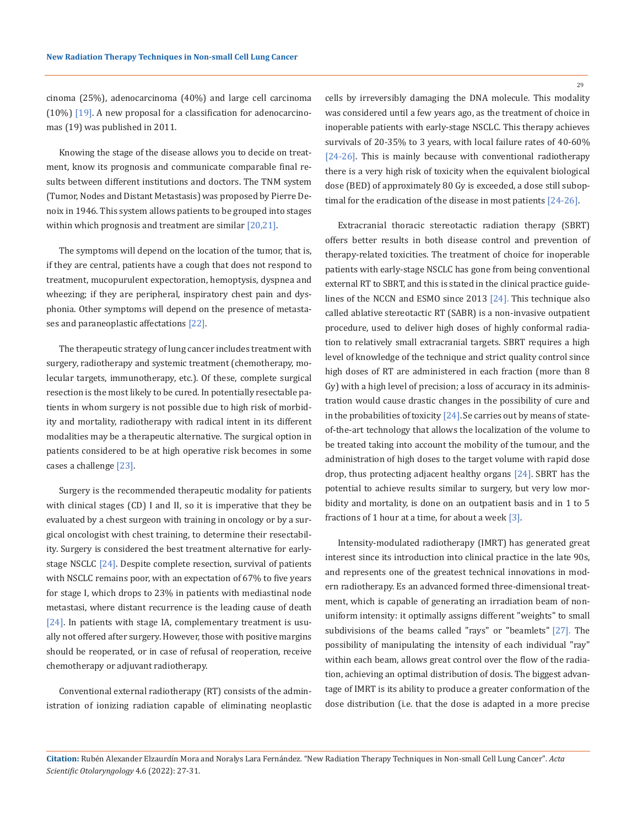29

cinoma (25%), adenocarcinoma (40%) and large cell carcinoma  $(10%)$  [19]. A new proposal for a classification for adenocarcinomas (19) was published in 2011.

Knowing the stage of the disease allows you to decide on treatment, know its prognosis and communicate comparable final results between different institutions and doctors. The TNM system (Tumor, Nodes and Distant Metastasis) was proposed by Pierre Denoix in 1946. This system allows patients to be grouped into stages within which prognosis and treatment are similar [20,21].

The symptoms will depend on the location of the tumor, that is, if they are central, patients have a cough that does not respond to treatment, mucopurulent expectoration, hemoptysis, dyspnea and wheezing; if they are peripheral, inspiratory chest pain and dysphonia. Other symptoms will depend on the presence of metastases and paraneoplastic affectations [22].

The therapeutic strategy of lung cancer includes treatment with surgery, radiotherapy and systemic treatment (chemotherapy, molecular targets, immunotherapy, etc.). Of these, complete surgical resection is the most likely to be cured. In potentially resectable patients in whom surgery is not possible due to high risk of morbidity and mortality, radiotherapy with radical intent in its different modalities may be a therapeutic alternative. The surgical option in patients considered to be at high operative risk becomes in some cases a challenge [23].

Surgery is the recommended therapeutic modality for patients with clinical stages (CD) I and II, so it is imperative that they be evaluated by a chest surgeon with training in oncology or by a surgical oncologist with chest training, to determine their resectability. Surgery is considered the best treatment alternative for earlystage NSCLC [24]. Despite complete resection, survival of patients with NSCLC remains poor, with an expectation of 67% to five years for stage I, which drops to 23% in patients with mediastinal node metastasi, where distant recurrence is the leading cause of death [24]. In patients with stage IA, complementary treatment is usually not offered after surgery. However, those with positive margins should be reoperated, or in case of refusal of reoperation, receive chemotherapy or adjuvant radiotherapy.

Conventional external radiotherapy (RT) consists of the administration of ionizing radiation capable of eliminating neoplastic cells by irreversibly damaging the DNA molecule. This modality was considered until a few years ago, as the treatment of choice in inoperable patients with early-stage NSCLC. This therapy achieves survivals of 20-35% to 3 years, with local failure rates of 40-60% [24-26]. This is mainly because with conventional radiotherapy there is a very high risk of toxicity when the equivalent biological dose (BED) of approximately 80 Gy is exceeded, a dose still suboptimal for the eradication of the disease in most patients [24-26].

Extracranial thoracic stereotactic radiation therapy (SBRT) offers better results in both disease control and prevention of therapy-related toxicities. The treatment of choice for inoperable patients with early-stage NSCLC has gone from being conventional external RT to SBRT, and this is stated in the clinical practice guidelines of the NCCN and ESMO since 2013 [24]. This technique also called ablative stereotactic RT (SABR) is a non-invasive outpatient procedure, used to deliver high doses of highly conformal radiation to relatively small extracranial targets. SBRT requires a high level of knowledge of the technique and strict quality control since high doses of RT are administered in each fraction (more than 8 Gy) with a high level of precision; a loss of accuracy in its administration would cause drastic changes in the possibility of cure and in the probabilities of toxicity  $[24]$ . Se carries out by means of stateof-the-art technology that allows the localization of the volume to be treated taking into account the mobility of the tumour, and the administration of high doses to the target volume with rapid dose drop, thus protecting adjacent healthy organs [24]. SBRT has the potential to achieve results similar to surgery, but very low morbidity and mortality, is done on an outpatient basis and in 1 to 5 fractions of 1 hour at a time, for about a week  $[3]$ .

Intensity-modulated radiotherapy (IMRT) has generated great interest since its introduction into clinical practice in the late 90s, and represents one of the greatest technical innovations in modern radiotherapy. Es an advanced formed three-dimensional treatment, which is capable of generating an irradiation beam of nonuniform intensity: it optimally assigns different "weights" to small subdivisions of the beams called "rays" or "beamlets" [27]. The possibility of manipulating the intensity of each individual "ray" within each beam, allows great control over the flow of the radiation, achieving an optimal distribution of dosis. The biggest advantage of IMRT is its ability to produce a greater conformation of the dose distribution (i.e. that the dose is adapted in a more precise

**Citation:** Rubén Alexander Elzaurdín Mora and Noralys Lara Fernández*.* "New Radiation Therapy Techniques in Non-small Cell Lung Cancer". *Acta Scientific Otolaryngology* 4.6 (2022): 27-31.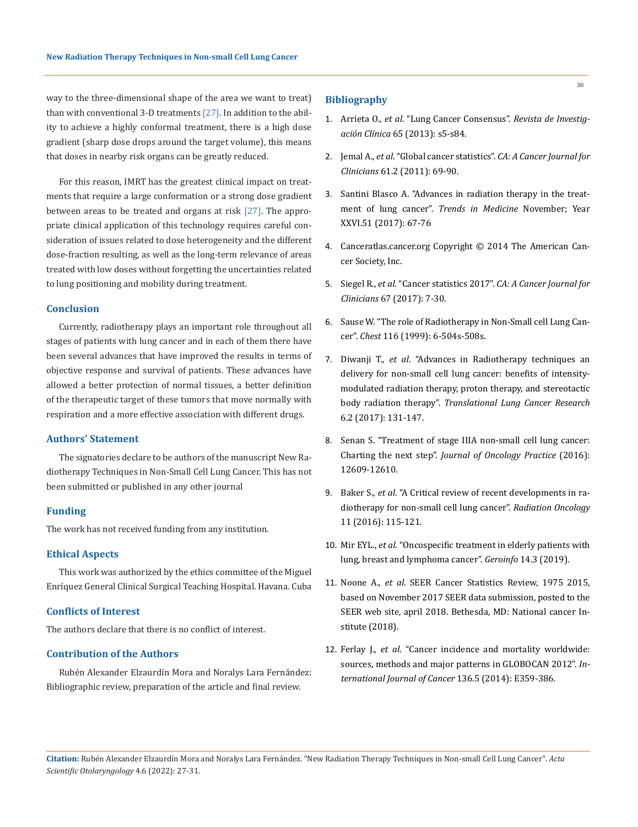way to the three-dimensional shape of the area we want to treat) than with conventional 3-D treatments [27]. In addition to the ability to achieve a highly conformal treatment, there is a high dose gradient (sharp dose drops around the target volume), this means that doses in nearby risk organs can be greatly reduced.

For this reason, IMRT has the greatest clinical impact on treatments that require a large conformation or a strong dose gradient between areas to be treated and organs at risk [27]. The appropriate clinical application of this technology requires careful consideration of issues related to dose heterogeneity and the different dose-fraction resulting, as well as the long-term relevance of areas treated with low doses without forgetting the uncertainties related to lung positioning and mobility during treatment.

# **Conclusion**

Currently, radiotherapy plays an important role throughout all stages of patients with lung cancer and in each of them there have been several advances that have improved the results in terms of objective response and survival of patients. These advances have allowed a better protection of normal tissues, a better definition of the therapeutic target of these tumors that move normally with respiration and a more effective association with different drugs.

#### **Authors' Statement**

The signatories declare to be authors of the manuscript New Radiotherapy Techniques in Non-Small Cell Lung Cancer. This has not been submitted or published in any other journal

## **Funding**

The work has not received funding from any institution.

### **Ethical Aspects**

This work was authorized by the ethics committee of the Miguel Enríquez General Clinical Surgical Teaching Hospital. Havana. Cuba

#### **Conflicts of Interest**

The authors declare that there is no conflict of interest.

# **Contribution of the Authors**

Rubén Alexander Elzaurdín Mora and Noralys Lara Fernández: Bibliographic review, preparation of the article and final review.

### **Bibliography**

- 1. Arrieta O., *et al*. "Lung Cancer Consensus". *Revista de Investigación Clínica* 65 (2013): s5-s84.
- 2. Jemal A., *et al*[. "Global cancer statistics".](https://pubmed.ncbi.nlm.nih.gov/21296855/) *CA: A Cancer Journal for Clinicians* [61.2 \(2011\): 69-90.](https://pubmed.ncbi.nlm.nih.gov/21296855/)
- 3. Santini Blasco A. "Advances in radiation therapy in the treatment of lung cancer". *Trends in Medicine* November; Year XXVI.51 (2017): 67-76
- 4. Canceratlas.cancer.org Copyright © 2014 The American Cancer Society, Inc.
- 5. Siegel R., *et al*. "Cancer statistics 2017". *[CA: A Cancer Journal for](https://pubmed.ncbi.nlm.nih.gov/28055103/)  Clinicians* [67 \(2017\): 7-30.](https://pubmed.ncbi.nlm.nih.gov/28055103/)
- 6. [Sause W. "The role of Radiotherapy in Non-Small cell Lung Can](https://pubmed.ncbi.nlm.nih.gov/16052429/)cer". *Chest* [116 \(1999\): 6-504s-508s.](https://pubmed.ncbi.nlm.nih.gov/16052429/)
- 7. Diwanji T., *et al*[. "Advances in Radiotherapy techniques an](https://pubmed.ncbi.nlm.nih.gov/28529896/)  [delivery for non-small cell lung cancer: benefits of intensity](https://pubmed.ncbi.nlm.nih.gov/28529896/)[modulated radiation therapy, proton therapy, and stereotactic](https://pubmed.ncbi.nlm.nih.gov/28529896/)  body radiation therapy". *[Translational Lung Cancer Research](https://pubmed.ncbi.nlm.nih.gov/28529896/)*  [6.2 \(2017\): 131-147.](https://pubmed.ncbi.nlm.nih.gov/28529896/)
- 8. [Senan S. "Treatment of stage IIIA non-small cell lung cancer:](https://pubmed.ncbi.nlm.nih.gov/27407156/)  Charting the next step". *[Journal of Oncology Practice](https://pubmed.ncbi.nlm.nih.gov/27407156/)* (2016): [12609-12610.](https://pubmed.ncbi.nlm.nih.gov/27407156/)
- 9. Baker S., *et al*[. "A Critical review of recent developments in ra](https://ro-journal.biomedcentral.com/articles/10.1186/s13014-016-0693-8)[diotherapy for non-small cell lung cancer".](https://ro-journal.biomedcentral.com/articles/10.1186/s13014-016-0693-8) *Radiation Oncology* [11 \(2016\): 115-121.](https://ro-journal.biomedcentral.com/articles/10.1186/s13014-016-0693-8)
- 10. Mir EYL., *et al*. "Oncospecific treatment in elderly patients with lung, breast and lymphoma cancer". *Geroinfo* 14.3 (2019).
- 11. Noone A., *et al*. SEER Cancer Statistics Review, 1975 2015, based on November 2017 SEER data submission, posted to the SEER web site, april 2018. Bethesda, MD: National cancer Institute (2018).
- 12. Ferlay J., *et al*[. "Cancer incidence and mortality worldwide:](https://pubmed.ncbi.nlm.nih.gov/25220842/)  [sources, methods and major patterns in GLOBOCAN 2012".](https://pubmed.ncbi.nlm.nih.gov/25220842/) *In[ternational Journal of Cancer](https://pubmed.ncbi.nlm.nih.gov/25220842/)* 136.5 (2014): E359-386.

30